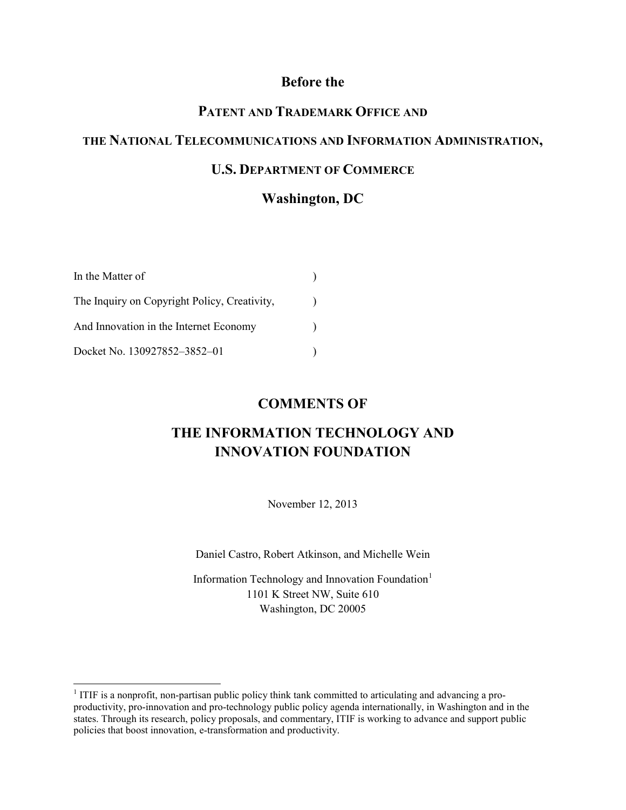#### **Before the**

# **PATENT AND TRADEMARK OFFICE AND**

# **THE NATIONAL TELECOMMUNICATIONS AND INFORMATION ADMINISTRATION,**

#### **U.S. DEPARTMENT OF COMMERCE**

### **Washington, DC**

| In the Matter of                             |  |
|----------------------------------------------|--|
| The Inquiry on Copyright Policy, Creativity, |  |
| And Innovation in the Internet Economy       |  |
| Docket No. 130927852-3852-01                 |  |

#### **COMMENTS OF**

# **THE INFORMATION TECHNOLOGY AND INNOVATION FOUNDATION**

November 12, 2013

Daniel Castro, Robert Atkinson, and Michelle Wein

Information Technology and Innovation Foundation<sup>[1](#page-0-0)</sup> 1101 K Street NW, Suite 610 Washington, DC 20005

<span id="page-0-0"></span><sup>&</sup>lt;sup>1</sup> ITIF is a nonprofit, non-partisan public policy think tank committed to articulating and advancing a proproductivity, pro-innovation and pro-technology public policy agenda internationally, in Washington and in the states. Through its research, policy proposals, and commentary, ITIF is working to advance and support public policies that boost innovation, e-transformation and productivity.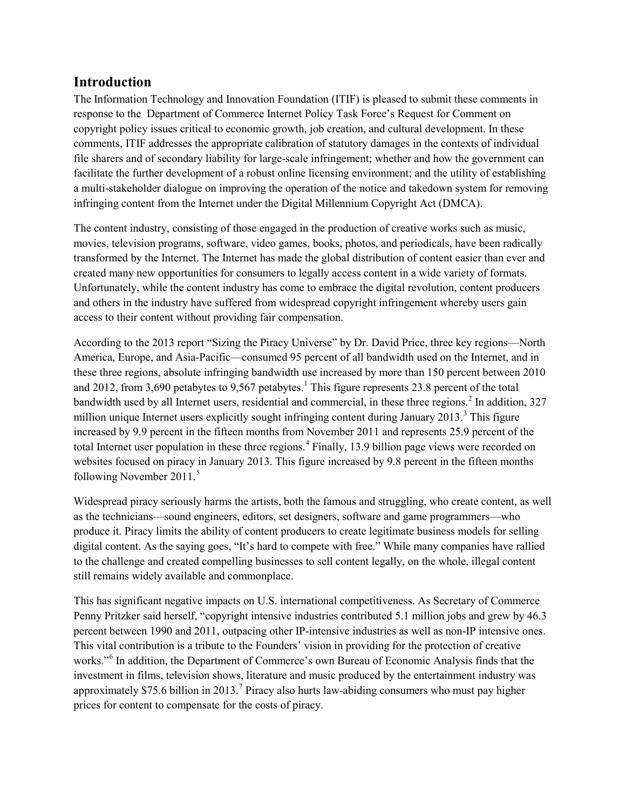### **Introduction**

The Information Technology and Innovation Foundation (ITIF) is pleased to submit these comments in response to the Department of Commerce Internet Policy Task Force's Request for Comment on copyright policy issues critical to economic growth, job creation, and cultural development. In these comments, ITIF addresses the appropriate calibration of statutory damages in the contexts of individual file sharers and of secondary liability for large-scale infringement; whether and how the government can facilitate the further development of a robust online licensing environment; and the utility of establishing a multi-stakeholder dialogue on improving the operation of the notice and takedown system for removing infringing content from the Internet under the Digital Millennium Copyright Act (DMCA).

The content industry, consisting of those engaged in the production of creative works such as music, movies, television programs, software, video games, books, photos, and periodicals, have been radically transformed by the Internet. The Internet has made the global distribution of content easier than ever and created many new opportunities for consumers to legally access content in a wide variety of formats. Unfortunately, while the content industry has come to embrace the digital revolution, content producers and others in the industry have suffered from widespread copyright infringement whereby users gain access to their content without providing fair compensation.

According to the 2013 report "Sizing the Piracy Universe" by Dr. David Price, three key regions—North America, Europe, and Asia-Pacific—consumed 95 percent of all bandwidth used on the Internet, and in these three regions, absolute infringing bandwidth use increased by more than 150 percent between 2010 and 20[1](#page-6-0)2, from 3,690 petabytes to 9,567 petabytes.<sup>1</sup> This figure represents 23.8 percent of the total bandwidth used by all Internet users, residential and commercial, in these three regions.<sup>[2](#page-6-1)</sup> In addition, 327 million unique Internet users explicitly sought infringing content during January 201[3](#page-6-2).<sup>3</sup> This figure increased by 9.9 percent in the fifteen months from November 2011 and represents 25.9 percent of the total Internet user population in these three regions.<sup>[4](#page-6-3)</sup> Finally, 13.9 billion page views were recorded on websites focused on piracy in January 2013. This figure increased by 9.8 percent in the fifteen months following November 2011.<sup>[5](#page-6-4)</sup>

Widespread piracy seriously harms the artists, both the famous and struggling, who create content, as well as the technicians—sound engineers, editors, set designers, software and game programmers—who produce it. Piracy limits the ability of content producers to create legitimate business models for selling digital content. As the saying goes, "It's hard to compete with free." While many companies have rallied to the challenge and created compelling businesses to sell content legally, on the whole, illegal content still remains widely available and commonplace.

This has significant negative impacts on U.S. international competitiveness. As Secretary of Commerce Penny Pritzker said herself, "copyright intensive industries contributed 5.1 million jobs and grew by 46.3 percent between 1990 and 2011, outpacing other IP-intensive industries as well as non-IP intensive ones. This vital contribution is a tribute to the Founders' vision in providing for the protection of creative works."[6](#page-6-5) In addition, the Department of Commerce's own Bureau of Economic Analysis finds that the investment in films, television shows, literature and music produced by the entertainment industry was approximately \$[7](#page-6-6)5.6 billion in 2013.<sup>7</sup> Piracy also hurts law-abiding consumers who must pay higher prices for content to compensate for the costs of piracy.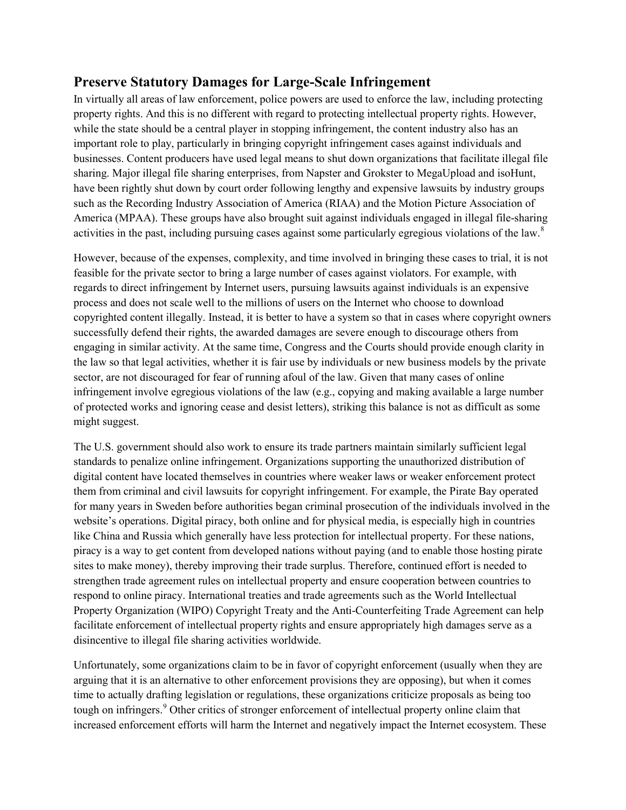# **Preserve Statutory Damages for Large-Scale Infringement**

In virtually all areas of law enforcement, police powers are used to enforce the law, including protecting property rights. And this is no different with regard to protecting intellectual property rights. However, while the state should be a central player in stopping infringement, the content industry also has an important role to play, particularly in bringing copyright infringement cases against individuals and businesses. Content producers have used legal means to shut down organizations that facilitate illegal file sharing. Major illegal file sharing enterprises, from Napster and Grokster to MegaUpload and isoHunt, have been rightly shut down by court order following lengthy and expensive lawsuits by industry groups such as the Recording Industry Association of America (RIAA) and the Motion Picture Association of America (MPAA). These groups have also brought suit against individuals engaged in illegal file-sharing activities in the past, including pursuing cases against some particularly egregious violations of the law.<sup>[8](#page-6-7)</sup>

However, because of the expenses, complexity, and time involved in bringing these cases to trial, it is not feasible for the private sector to bring a large number of cases against violators. For example, with regards to direct infringement by Internet users, pursuing lawsuits against individuals is an expensive process and does not scale well to the millions of users on the Internet who choose to download copyrighted content illegally. Instead, it is better to have a system so that in cases where copyright owners successfully defend their rights, the awarded damages are severe enough to discourage others from engaging in similar activity. At the same time, Congress and the Courts should provide enough clarity in the law so that legal activities, whether it is fair use by individuals or new business models by the private sector, are not discouraged for fear of running afoul of the law. Given that many cases of online infringement involve egregious violations of the law (e.g., copying and making available a large number of protected works and ignoring cease and desist letters), striking this balance is not as difficult as some might suggest.

The U.S. government should also work to ensure its trade partners maintain similarly sufficient legal standards to penalize online infringement. Organizations supporting the unauthorized distribution of digital content have located themselves in countries where weaker laws or weaker enforcement protect them from criminal and civil lawsuits for copyright infringement. For example, the Pirate Bay operated for many years in Sweden before authorities began criminal prosecution of the individuals involved in the website's operations. Digital piracy, both online and for physical media, is especially high in countries like China and Russia which generally have less protection for intellectual property. For these nations, piracy is a way to get content from developed nations without paying (and to enable those hosting pirate sites to make money), thereby improving their trade surplus. Therefore, continued effort is needed to strengthen trade agreement rules on intellectual property and ensure cooperation between countries to respond to online piracy. International treaties and trade agreements such as the World Intellectual Property Organization (WIPO) Copyright Treaty and the Anti-Counterfeiting Trade Agreement can help facilitate enforcement of intellectual property rights and ensure appropriately high damages serve as a disincentive to illegal file sharing activities worldwide.

Unfortunately, some organizations claim to be in favor of copyright enforcement (usually when they are arguing that it is an alternative to other enforcement provisions they are opposing), but when it comes time to actually drafting legislation or regulations, these organizations criticize proposals as being too tough on infringers.<sup>[9](#page-6-8)</sup> Other critics of stronger enforcement of intellectual property online claim that increased enforcement efforts will harm the Internet and negatively impact the Internet ecosystem. These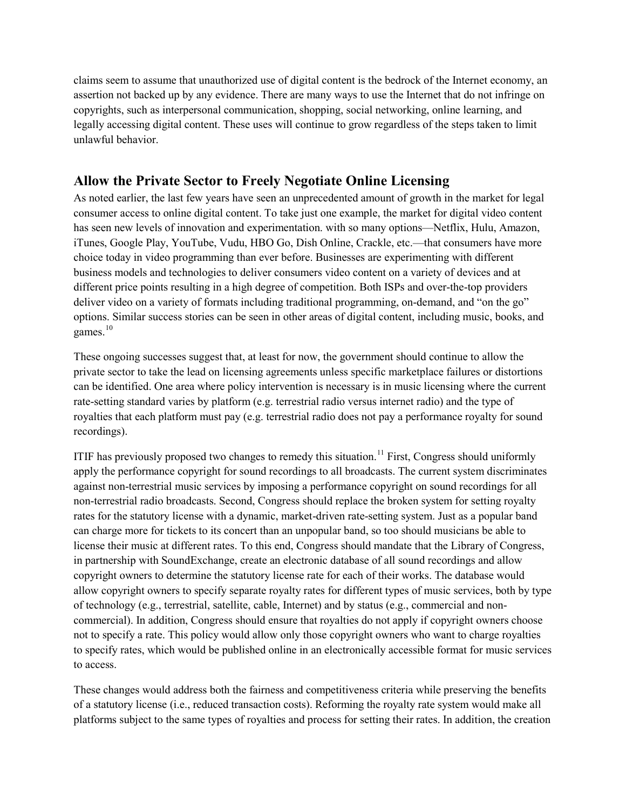claims seem to assume that unauthorized use of digital content is the bedrock of the Internet economy, an assertion not backed up by any evidence. There are many ways to use the Internet that do not infringe on copyrights, such as interpersonal communication, shopping, social networking, online learning, and legally accessing digital content. These uses will continue to grow regardless of the steps taken to limit unlawful behavior.

# **Allow the Private Sector to Freely Negotiate Online Licensing**

As noted earlier, the last few years have seen an unprecedented amount of growth in the market for legal consumer access to online digital content. To take just one example, the market for digital video content has seen new levels of innovation and experimentation, with so many options—Netflix, Hulu, Amazon, iTunes, Google Play, YouTube, Vudu, HBO Go, Dish Online, Crackle, etc.—that consumers have more choice today in video programming than ever before. Businesses are experimenting with different business models and technologies to deliver consumers video content on a variety of devices and at different price points resulting in a high degree of competition. Both ISPs and over-the-top providers deliver video on a variety of formats including traditional programming, on-demand, and "on the go" options. Similar success stories can be seen in other areas of digital content, including music, books, and games. [10](#page-6-9)

These ongoing successes suggest that, at least for now, the government should continue to allow the private sector to take the lead on licensing agreements unless specific marketplace failures or distortions can be identified. One area where policy intervention is necessary is in music licensing where the current rate-setting standard varies by platform (e.g. terrestrial radio versus internet radio) and the type of royalties that each platform must pay (e.g. terrestrial radio does not pay a performance royalty for sound recordings).

ITIF has previously proposed two changes to remedy this situation.<sup>[11](#page-6-10)</sup> First, Congress should uniformly apply the performance copyright for sound recordings to all broadcasts. The current system discriminates against non-terrestrial music services by imposing a performance copyright on sound recordings for all non-terrestrial radio broadcasts. Second, Congress should replace the broken system for setting royalty rates for the statutory license with a dynamic, market-driven rate-setting system. Just as a popular band can charge more for tickets to its concert than an unpopular band, so too should musicians be able to license their music at different rates. To this end, Congress should mandate that the Library of Congress, in partnership with SoundExchange, create an electronic database of all sound recordings and allow copyright owners to determine the statutory license rate for each of their works. The database would allow copyright owners to specify separate royalty rates for different types of music services, both by type of technology (e.g., terrestrial, satellite, cable, Internet) and by status (e.g., commercial and noncommercial). In addition, Congress should ensure that royalties do not apply if copyright owners choose not to specify a rate. This policy would allow only those copyright owners who want to charge royalties to specify rates, which would be published online in an electronically accessible format for music services to access.

These changes would address both the fairness and competitiveness criteria while preserving the benefits of a statutory license (i.e., reduced transaction costs). Reforming the royalty rate system would make all platforms subject to the same types of royalties and process for setting their rates. In addition, the creation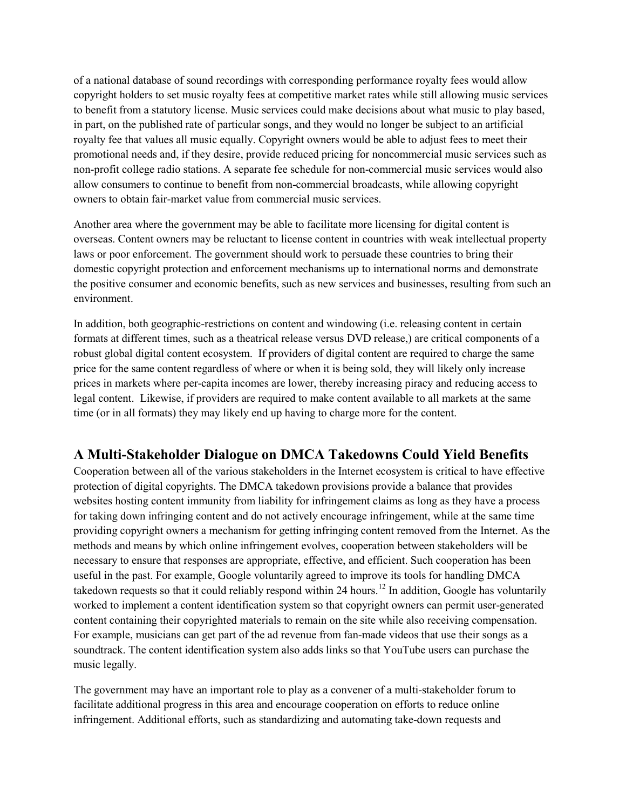of a national database of sound recordings with corresponding performance royalty fees would allow copyright holders to set music royalty fees at competitive market rates while still allowing music services to benefit from a statutory license. Music services could make decisions about what music to play based, in part, on the published rate of particular songs, and they would no longer be subject to an artificial royalty fee that values all music equally. Copyright owners would be able to adjust fees to meet their promotional needs and, if they desire, provide reduced pricing for noncommercial music services such as non-profit college radio stations. A separate fee schedule for non-commercial music services would also allow consumers to continue to benefit from non-commercial broadcasts, while allowing copyright owners to obtain fair-market value from commercial music services.

Another area where the government may be able to facilitate more licensing for digital content is overseas. Content owners may be reluctant to license content in countries with weak intellectual property laws or poor enforcement. The government should work to persuade these countries to bring their domestic copyright protection and enforcement mechanisms up to international norms and demonstrate the positive consumer and economic benefits, such as new services and businesses, resulting from such an environment.

In addition, both geographic-restrictions on content and windowing (i.e. releasing content in certain formats at different times, such as a theatrical release versus DVD release,) are critical components of a robust global digital content ecosystem. If providers of digital content are required to charge the same price for the same content regardless of where or when it is being sold, they will likely only increase prices in markets where per-capita incomes are lower, thereby increasing piracy and reducing access to legal content. Likewise, if providers are required to make content available to all markets at the same time (or in all formats) they may likely end up having to charge more for the content.

# **A Multi-Stakeholder Dialogue on DMCA Takedowns Could Yield Benefits**

Cooperation between all of the various stakeholders in the Internet ecosystem is critical to have effective protection of digital copyrights. The DMCA takedown provisions provide a balance that provides websites hosting content immunity from liability for infringement claims as long as they have a process for taking down infringing content and do not actively encourage infringement, while at the same time providing copyright owners a mechanism for getting infringing content removed from the Internet. As the methods and means by which online infringement evolves, cooperation between stakeholders will be necessary to ensure that responses are appropriate, effective, and efficient. Such cooperation has been useful in the past. For example, Google voluntarily agreed to improve its tools for handling DMCA takedown requests so that it could reliably respond within 24 hours.<sup>[12](#page-6-11)</sup> In addition, Google has voluntarily worked to implement a content identification system so that copyright owners can permit user-generated content containing their copyrighted materials to remain on the site while also receiving compensation. For example, musicians can get part of the ad revenue from fan-made videos that use their songs as a soundtrack. The content identification system also adds links so that YouTube users can purchase the music legally.

The government may have an important role to play as a convener of a multi-stakeholder forum to facilitate additional progress in this area and encourage cooperation on efforts to reduce online infringement. Additional efforts, such as standardizing and automating take-down requests and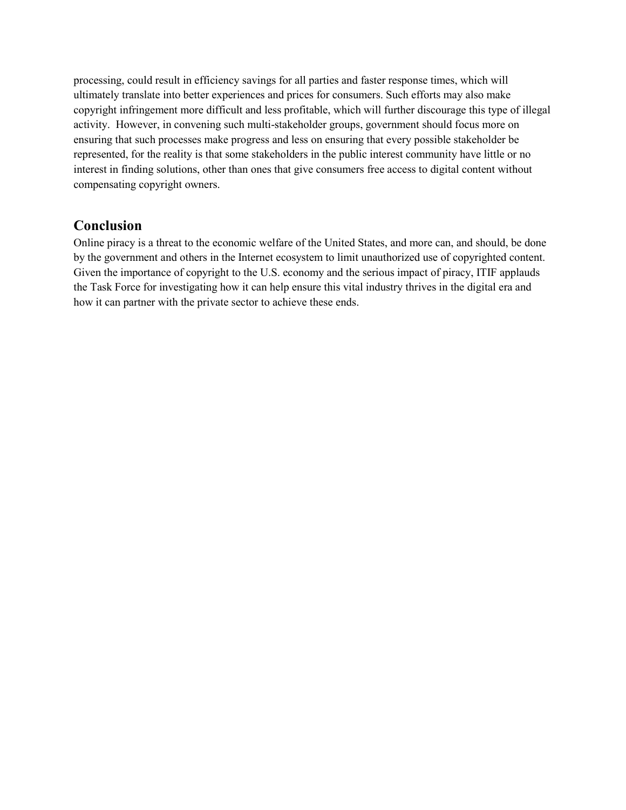processing, could result in efficiency savings for all parties and faster response times, which will ultimately translate into better experiences and prices for consumers. Such efforts may also make copyright infringement more difficult and less profitable, which will further discourage this type of illegal activity. However, in convening such multi-stakeholder groups, government should focus more on ensuring that such processes make progress and less on ensuring that every possible stakeholder be represented, for the reality is that some stakeholders in the public interest community have little or no interest in finding solutions, other than ones that give consumers free access to digital content without compensating copyright owners.

## **Conclusion**

Online piracy is a threat to the economic welfare of the United States, and more can, and should, be done by the government and others in the Internet ecosystem to limit unauthorized use of copyrighted content. Given the importance of copyright to the U.S. economy and the serious impact of piracy, ITIF applauds the Task Force for investigating how it can help ensure this vital industry thrives in the digital era and how it can partner with the private sector to achieve these ends.